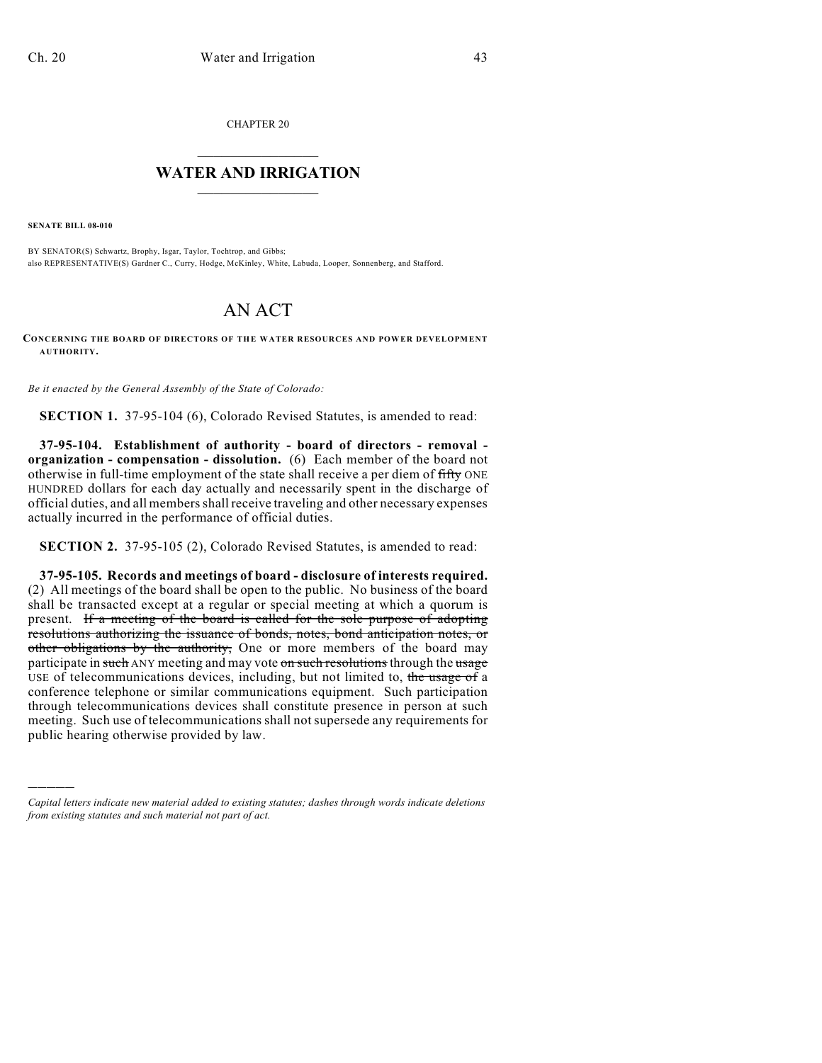CHAPTER 20

## $\mathcal{L}_\text{max}$  . The set of the set of the set of the set of the set of the set of the set of the set of the set of the set of the set of the set of the set of the set of the set of the set of the set of the set of the set **WATER AND IRRIGATION**  $\_$   $\_$

**SENATE BILL 08-010**

)))))

BY SENATOR(S) Schwartz, Brophy, Isgar, Taylor, Tochtrop, and Gibbs; also REPRESENTATIVE(S) Gardner C., Curry, Hodge, McKinley, White, Labuda, Looper, Sonnenberg, and Stafford.

## AN ACT

**CONCERNING THE BOARD OF DIRECTORS OF THE WATER RESOURCES AND POWER DEVELOPMENT AUTHORITY.**

*Be it enacted by the General Assembly of the State of Colorado:*

**SECTION 1.** 37-95-104 (6), Colorado Revised Statutes, is amended to read:

**37-95-104. Establishment of authority - board of directors - removal organization - compensation - dissolution.** (6) Each member of the board not otherwise in full-time employment of the state shall receive a per diem of fifty ONE HUNDRED dollars for each day actually and necessarily spent in the discharge of official duties, and all members shall receive traveling and other necessary expenses actually incurred in the performance of official duties.

**SECTION 2.** 37-95-105 (2), Colorado Revised Statutes, is amended to read:

**37-95-105. Records and meetings of board - disclosure of interests required.** (2) All meetings of the board shall be open to the public. No business of the board shall be transacted except at a regular or special meeting at which a quorum is present. If a meeting of the board is called for the sole purpose of adopting resolutions authorizing the issuance of bonds, notes, bond anticipation notes, or other obligations by the authority, One or more members of the board may participate in such ANY meeting and may vote on such resolutions through the usage USE of telecommunications devices, including, but not limited to, the usage of a conference telephone or similar communications equipment. Such participation through telecommunications devices shall constitute presence in person at such meeting. Such use of telecommunications shall not supersede any requirements for public hearing otherwise provided by law.

*Capital letters indicate new material added to existing statutes; dashes through words indicate deletions from existing statutes and such material not part of act.*